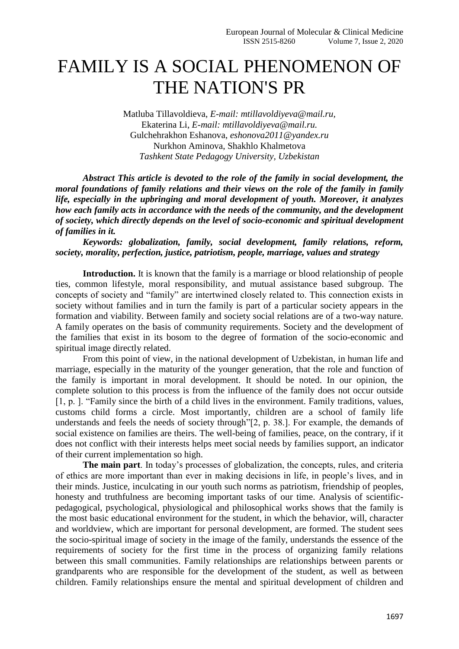## FAMILY IS A SOCIAL PHENOMENON OF THE NATION'S PR

Matluba Tillavoldieva, *E-mail: mtillavoldiyeva@mail.ru,* Ekaterina Li, *E-mail: mtillavoldiyeva@mail.ru.* Gulchehrakhon Eshanova, *eshonova2011@yandex.ru* Nurkhon Aminova, Shakhlo Khalmetova *Tashkent State Pedagogy University, Uzbekistan*

*Abstract This article is devoted to the role of the family in social development, the moral foundations of family relations and their views on the role of the family in family life, especially in the upbringing and moral development of youth. Moreover, it analyzes how each family acts in accordance with the needs of the community, and the development of society, which directly depends on the level of socio-economic and spiritual development of families in it.* 

*Keywords: globalization, family, social development, family relations, reform, society, morality, perfection, justice, patriotism, people, marriage, values and strategy*

**Introduction.** It is known that the family is a marriage or blood relationship of people ties, common lifestyle, moral responsibility, and mutual assistance based subgroup. The concepts of society and "family" are intertwined closely related to. This connection exists in society without families and in turn the family is part of a particular society appears in the formation and viability. Between family and society social relations are of a two-way nature. A family operates on the basis of community requirements. Society and the development of the families that exist in its bosom to the degree of formation of the socio-economic and spiritual image directly related.

From this point of view, in the national development of Uzbekistan, in human life and marriage, especially in the maturity of the younger generation, that the role and function of the family is important in moral development. It should be noted. In our opinion, the complete solution to this process is from the influence of the family does not occur outside [1, p. ]. "Family since the birth of a child lives in the environment. Family traditions, values, customs child forms a circle. Most importantly, children are a school of family life understands and feels the needs of society through"[2, p. 38.]. For example, the demands of social existence on families are theirs. The well-being of families, peace, on the contrary, if it does not conflict with their interests helps meet social needs by families support, an indicator of their current implementation so high.

**The main part**. In today's processes of globalization, the concepts, rules, and criteria of ethics are more important than ever in making decisions in life, in people's lives, and in their minds. Justice, inculcating in our youth such norms as patriotism, friendship of peoples, honesty and truthfulness are becoming important tasks of our time. Analysis of scientificpedagogical, psychological, physiological and philosophical works shows that the family is the most basic educational environment for the student, in which the behavior, will, character and worldview, which are important for personal development, are formed. The student sees the socio-spiritual image of society in the image of the family, understands the essence of the requirements of society for the first time in the process of organizing family relations between this small communities. Family relationships are relationships between parents or grandparents who are responsible for the development of the student, as well as between children. Family relationships ensure the mental and spiritual development of children and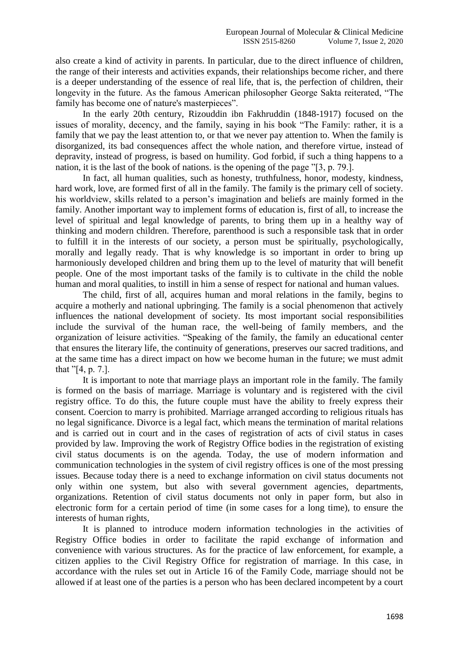also create a kind of activity in parents. In particular, due to the direct influence of children, the range of their interests and activities expands, their relationships become richer, and there is a deeper understanding of the essence of real life, that is, the perfection of children, their longevity in the future. As the famous American philosopher George Sakta reiterated, "The family has become one of nature's masterpieces".

In the early 20th century, Rizouddin ibn Fakhruddin (1848-1917) focused on the issues of morality, decency, and the family, saying in his book "The Family: rather, it is a family that we pay the least attention to, or that we never pay attention to. When the family is disorganized, its bad consequences affect the whole nation, and therefore virtue, instead of depravity, instead of progress, is based on humility. God forbid, if such a thing happens to a nation, it is the last of the book of nations. is the opening of the page "[3, p. 79.].

In fact, all human qualities, such as honesty, truthfulness, honor, modesty, kindness, hard work, love, are formed first of all in the family. The family is the primary cell of society. his worldview, skills related to a person's imagination and beliefs are mainly formed in the family. Another important way to implement forms of education is, first of all, to increase the level of spiritual and legal knowledge of parents, to bring them up in a healthy way of thinking and modern children. Therefore, parenthood is such a responsible task that in order to fulfill it in the interests of our society, a person must be spiritually, psychologically, morally and legally ready. That is why knowledge is so important in order to bring up harmoniously developed children and bring them up to the level of maturity that will benefit people. One of the most important tasks of the family is to cultivate in the child the noble human and moral qualities, to instill in him a sense of respect for national and human values.

The child, first of all, acquires human and moral relations in the family, begins to acquire a motherly and national upbringing. The family is a social phenomenon that actively influences the national development of society. Its most important social responsibilities include the survival of the human race, the well-being of family members, and the organization of leisure activities. "Speaking of the family, the family an educational center that ensures the literary life, the continuity of generations, preserves our sacred traditions, and at the same time has a direct impact on how we become human in the future; we must admit that "[4, p. 7.].

It is important to note that marriage plays an important role in the family. The family is formed on the basis of marriage. Marriage is voluntary and is registered with the civil registry office. To do this, the future couple must have the ability to freely express their consent. Coercion to marry is prohibited. Marriage arranged according to religious rituals has no legal significance. Divorce is a legal fact, which means the termination of marital relations and is carried out in court and in the cases of registration of acts of civil status in cases provided by law. Improving the work of Registry Office bodies in the registration of existing civil status documents is on the agenda. Today, the use of modern information and communication technologies in the system of civil registry offices is one of the most pressing issues. Because today there is a need to exchange information on civil status documents not only within one system, but also with several government agencies, departments, organizations. Retention of civil status documents not only in paper form, but also in electronic form for a certain period of time (in some cases for a long time), to ensure the interests of human rights,

It is planned to introduce modern information technologies in the activities of Registry Office bodies in order to facilitate the rapid exchange of information and convenience with various structures. As for the practice of law enforcement, for example, a citizen applies to the Civil Registry Office for registration of marriage. In this case, in accordance with the rules set out in Article 16 of the Family Code, marriage should not be allowed if at least one of the parties is a person who has been declared incompetent by a court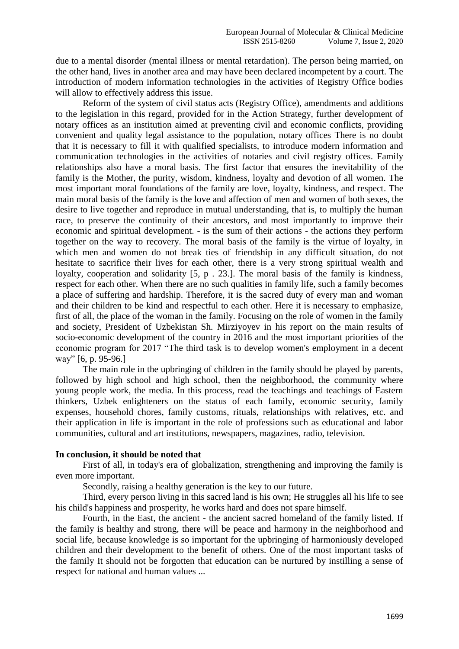due to a mental disorder (mental illness or mental retardation). The person being married, on the other hand, lives in another area and may have been declared incompetent by a court. The introduction of modern information technologies in the activities of Registry Office bodies will allow to effectively address this issue.

Reform of the system of civil status acts (Registry Office), amendments and additions to the legislation in this regard, provided for in the Action Strategy, further development of notary offices as an institution aimed at preventing civil and economic conflicts, providing convenient and quality legal assistance to the population, notary offices There is no doubt that it is necessary to fill it with qualified specialists, to introduce modern information and communication technologies in the activities of notaries and civil registry offices. Family relationships also have a moral basis. The first factor that ensures the inevitability of the family is the Mother, the purity, wisdom, kindness, loyalty and devotion of all women. The most important moral foundations of the family are love, loyalty, kindness, and respect. The main moral basis of the family is the love and affection of men and women of both sexes, the desire to live together and reproduce in mutual understanding, that is, to multiply the human race, to preserve the continuity of their ancestors, and most importantly to improve their economic and spiritual development. - is the sum of their actions - the actions they perform together on the way to recovery. The moral basis of the family is the virtue of loyalty, in which men and women do not break ties of friendship in any difficult situation, do not hesitate to sacrifice their lives for each other, there is a very strong spiritual wealth and loyalty, cooperation and solidarity [5, p . 23.]. The moral basis of the family is kindness, respect for each other. When there are no such qualities in family life, such a family becomes a place of suffering and hardship. Therefore, it is the sacred duty of every man and woman and their children to be kind and respectful to each other. Here it is necessary to emphasize, first of all, the place of the woman in the family. Focusing on the role of women in the family and society, President of Uzbekistan Sh. Mirziyoyev in his report on the main results of socio-economic development of the country in 2016 and the most important priorities of the economic program for 2017 "The third task is to develop women's employment in a decent way" [6, p. 95-96.]

The main role in the upbringing of children in the family should be played by parents, followed by high school and high school, then the neighborhood, the community where young people work, the media. In this process, read the teachings and teachings of Eastern thinkers, Uzbek enlighteners on the status of each family, economic security, family expenses, household chores, family customs, rituals, relationships with relatives, etc. and their application in life is important in the role of professions such as educational and labor communities, cultural and art institutions, newspapers, magazines, radio, television.

## **In conclusion, it should be noted that**

First of all, in today's era of globalization, strengthening and improving the family is even more important.

Secondly, raising a healthy generation is the key to our future.

Third, every person living in this sacred land is his own; He struggles all his life to see his child's happiness and prosperity, he works hard and does not spare himself.

Fourth, in the East, the ancient - the ancient sacred homeland of the family listed. If the family is healthy and strong, there will be peace and harmony in the neighborhood and social life, because knowledge is so important for the upbringing of harmoniously developed children and their development to the benefit of others. One of the most important tasks of the family It should not be forgotten that education can be nurtured by instilling a sense of respect for national and human values ...